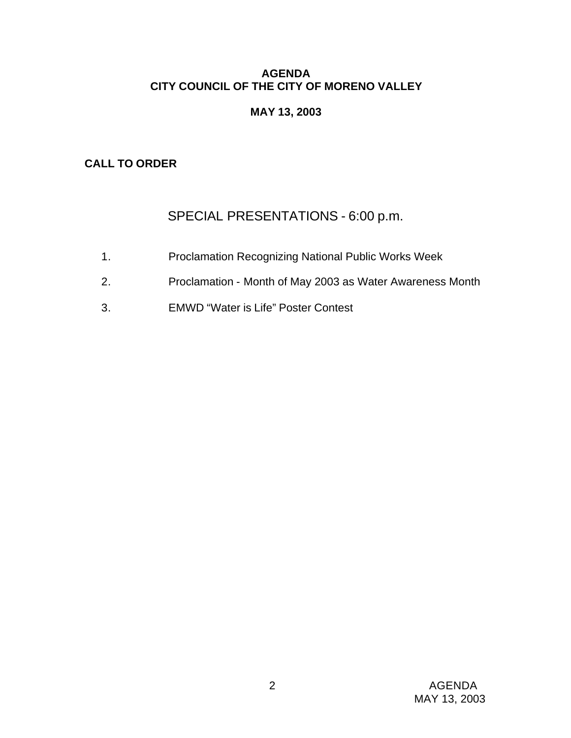## **AGENDA CITY COUNCIL OF THE CITY OF MORENO VALLEY**

# **MAY 13, 2003**

# **CALL TO ORDER**

# SPECIAL PRESENTATIONS - 6:00 p.m.

- 1. Proclamation Recognizing National Public Works Week
- 2. Proclamation Month of May 2003 as Water Awareness Month
- 3. EMWD "Water is Life" Poster Contest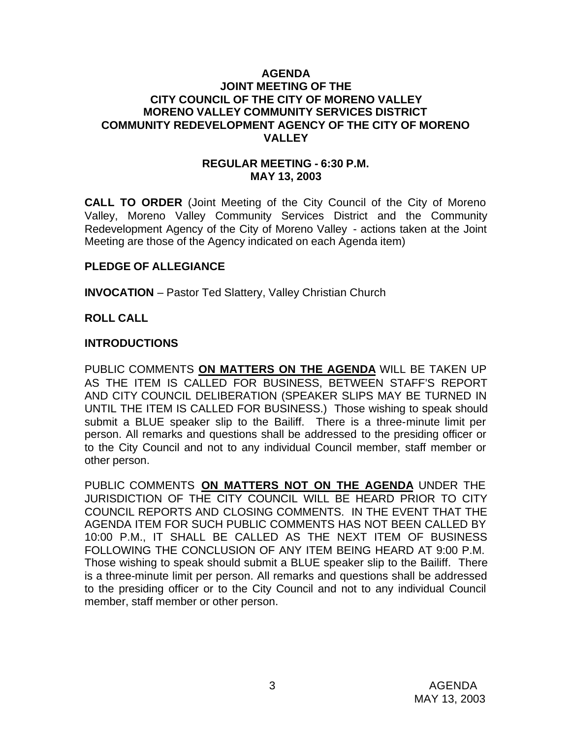#### **AGENDA JOINT MEETING OF THE CITY COUNCIL OF THE CITY OF MORENO VALLEY MORENO VALLEY COMMUNITY SERVICES DISTRICT COMMUNITY REDEVELOPMENT AGENCY OF THE CITY OF MORENO VALLEY**

#### **REGULAR MEETING - 6:30 P.M. MAY 13, 2003**

**CALL TO ORDER** (Joint Meeting of the City Council of the City of Moreno Valley, Moreno Valley Community Services District and the Community Redevelopment Agency of the City of Moreno Valley - actions taken at the Joint Meeting are those of the Agency indicated on each Agenda item)

#### **PLEDGE OF ALLEGIANCE**

**INVOCATION** – Pastor Ted Slattery, Valley Christian Church

#### **ROLL CALL**

#### **INTRODUCTIONS**

PUBLIC COMMENTS **ON MATTERS ON THE AGENDA** WILL BE TAKEN UP AS THE ITEM IS CALLED FOR BUSINESS, BETWEEN STAFF'S REPORT AND CITY COUNCIL DELIBERATION (SPEAKER SLIPS MAY BE TURNED IN UNTIL THE ITEM IS CALLED FOR BUSINESS.) Those wishing to speak should submit a BLUE speaker slip to the Bailiff. There is a three-minute limit per person. All remarks and questions shall be addressed to the presiding officer or to the City Council and not to any individual Council member, staff member or other person.

PUBLIC COMMENTS **ON MATTERS NOT ON THE AGENDA** UNDER THE JURISDICTION OF THE CITY COUNCIL WILL BE HEARD PRIOR TO CITY COUNCIL REPORTS AND CLOSING COMMENTS. IN THE EVENT THAT THE AGENDA ITEM FOR SUCH PUBLIC COMMENTS HAS NOT BEEN CALLED BY 10:00 P.M., IT SHALL BE CALLED AS THE NEXT ITEM OF BUSINESS FOLLOWING THE CONCLUSION OF ANY ITEM BEING HEARD AT 9:00 P.M. Those wishing to speak should submit a BLUE speaker slip to the Bailiff. There is a three-minute limit per person. All remarks and questions shall be addressed to the presiding officer or to the City Council and not to any individual Council member, staff member or other person.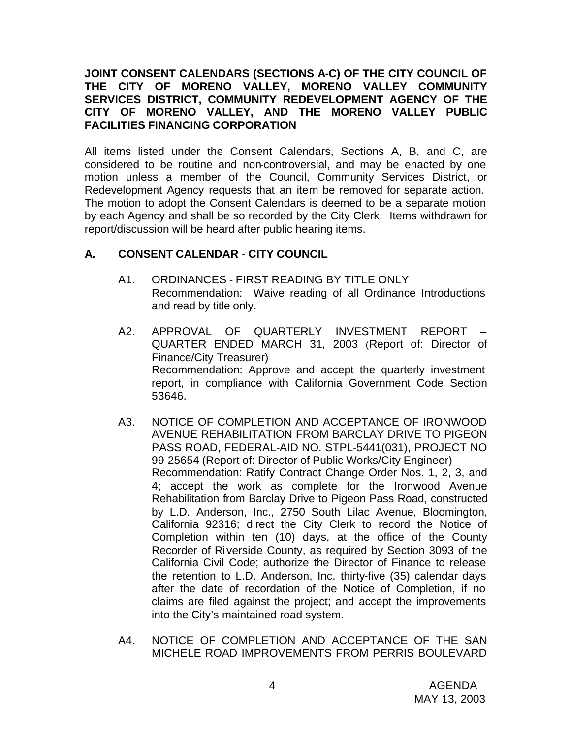## **JOINT CONSENT CALENDARS (SECTIONS A-C) OF THE CITY COUNCIL OF THE CITY OF MORENO VALLEY, MORENO VALLEY COMMUNITY SERVICES DISTRICT, COMMUNITY REDEVELOPMENT AGENCY OF THE CITY OF MORENO VALLEY, AND THE MORENO VALLEY PUBLIC FACILITIES FINANCING CORPORATION**

All items listed under the Consent Calendars, Sections A, B, and C, are considered to be routine and non-controversial, and may be enacted by one motion unless a member of the Council, Community Services District, or Redevelopment Agency requests that an item be removed for separate action. The motion to adopt the Consent Calendars is deemed to be a separate motion by each Agency and shall be so recorded by the City Clerk. Items withdrawn for report/discussion will be heard after public hearing items.

## **A. CONSENT CALENDAR** - **CITY COUNCIL**

- A1. ORDINANCES FIRST READING BY TITLE ONLY Recommendation: Waive reading of all Ordinance Introductions and read by title only.
- A2. APPROVAL OF QUARTERLY INVESTMENT REPORT QUARTER ENDED MARCH 31, 2003 (Report of: Director of Finance/City Treasurer) Recommendation: Approve and accept the quarterly investment report, in compliance with California Government Code Section 53646.
- A3. NOTICE OF COMPLETION AND ACCEPTANCE OF IRONWOOD AVENUE REHABILITATION FROM BARCLAY DRIVE TO PIGEON PASS ROAD, FEDERAL-AID NO. STPL-5441(031), PROJECT NO 99-25654 (Report of: Director of Public Works/City Engineer) Recommendation: Ratify Contract Change Order Nos. 1, 2, 3, and 4; accept the work as complete for the Ironwood Avenue Rehabilitation from Barclay Drive to Pigeon Pass Road, constructed by L.D. Anderson, Inc., 2750 South Lilac Avenue, Bloomington, California 92316; direct the City Clerk to record the Notice of Completion within ten (10) days, at the office of the County Recorder of Riverside County, as required by Section 3093 of the California Civil Code; authorize the Director of Finance to release the retention to L.D. Anderson, Inc. thirty-five (35) calendar days after the date of recordation of the Notice of Completion, if no claims are filed against the project; and accept the improvements into the City's maintained road system.
- A4. NOTICE OF COMPLETION AND ACCEPTANCE OF THE SAN MICHELE ROAD IMPROVEMENTS FROM PERRIS BOULEVARD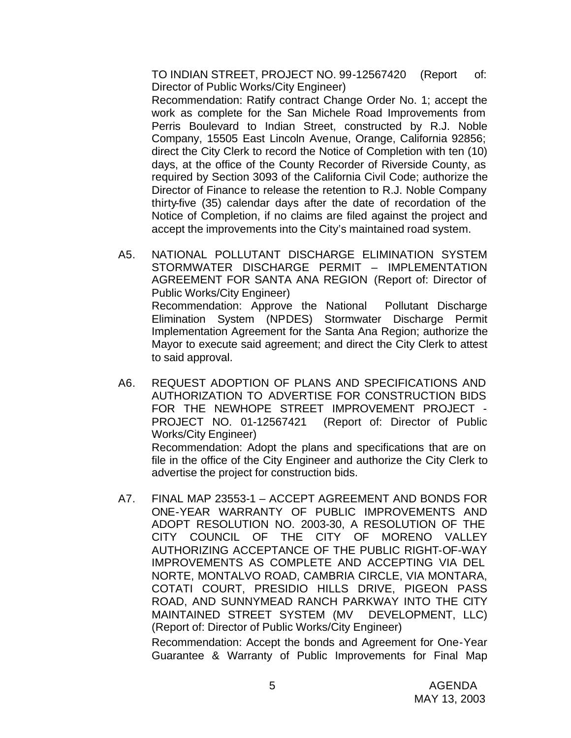TO INDIAN STREET, PROJECT NO. 99-12567420 (Report of: Director of Public Works/City Engineer)

Recommendation: Ratify contract Change Order No. 1; accept the work as complete for the San Michele Road Improvements from Perris Boulevard to Indian Street, constructed by R.J. Noble Company, 15505 East Lincoln Avenue, Orange, California 92856; direct the City Clerk to record the Notice of Completion with ten (10) days, at the office of the County Recorder of Riverside County, as required by Section 3093 of the California Civil Code; authorize the Director of Finance to release the retention to R.J. Noble Company thirty-five (35) calendar days after the date of recordation of the Notice of Completion, if no claims are filed against the project and accept the improvements into the City's maintained road system.

- A5. NATIONAL POLLUTANT DISCHARGE ELIMINATION SYSTEM STORMWATER DISCHARGE PERMIT – IMPLEMENTATION AGREEMENT FOR SANTA ANA REGION (Report of: Director of Public Works/City Engineer) Recommendation: Approve the National Pollutant Discharge Elimination System (NPDES) Stormwater Discharge Permit Implementation Agreement for the Santa Ana Region; authorize the Mayor to execute said agreement; and direct the City Clerk to attest to said approval.
- A6. REQUEST ADOPTION OF PLANS AND SPECIFICATIONS AND AUTHORIZATION TO ADVERTISE FOR CONSTRUCTION BIDS FOR THE NEWHOPE STREET IMPROVEMENT PROJECT - PROJECT NO. 01-12567421 (Report of: Director of Public Works/City Engineer) Recommendation: Adopt the plans and specifications that are on file in the office of the City Engineer and authorize the City Clerk to advertise the project for construction bids.
- A7. FINAL MAP 23553-1 ACCEPT AGREEMENT AND BONDS FOR ONE-YEAR WARRANTY OF PUBLIC IMPROVEMENTS AND ADOPT RESOLUTION NO. 2003-30, A RESOLUTION OF THE CITY COUNCIL OF THE CITY OF MORENO VALLEY AUTHORIZING ACCEPTANCE OF THE PUBLIC RIGHT-OF-WAY IMPROVEMENTS AS COMPLETE AND ACCEPTING VIA DEL NORTE, MONTALVO ROAD, CAMBRIA CIRCLE, VIA MONTARA, COTATI COURT, PRESIDIO HILLS DRIVE, PIGEON PASS ROAD, AND SUNNYMEAD RANCH PARKWAY INTO THE CITY MAINTAINED STREET SYSTEM (MV DEVELOPMENT, LLC) (Report of: Director of Public Works/City Engineer)

Recommendation: Accept the bonds and Agreement for One-Year Guarantee & Warranty of Public Improvements for Final Map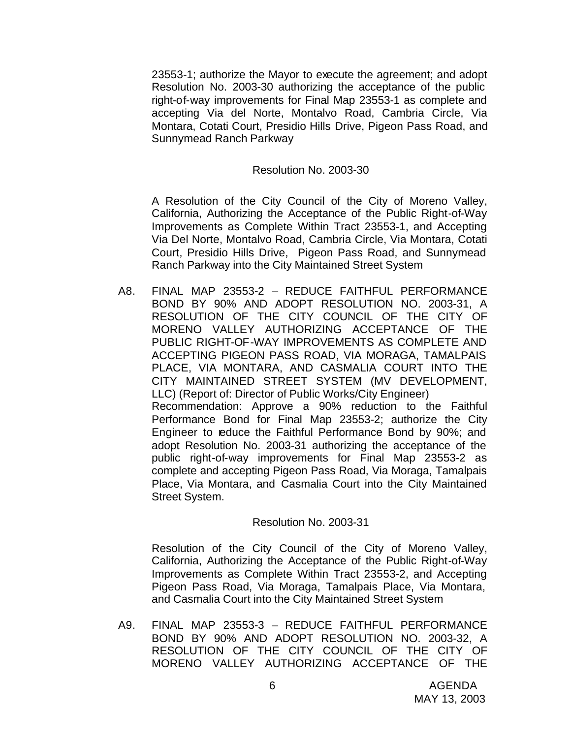23553-1; authorize the Mayor to execute the agreement; and adopt Resolution No. 2003-30 authorizing the acceptance of the public right-of-way improvements for Final Map 23553-1 as complete and accepting Via del Norte, Montalvo Road, Cambria Circle, Via Montara, Cotati Court, Presidio Hills Drive, Pigeon Pass Road, and Sunnymead Ranch Parkway

#### Resolution No. 2003-30

A Resolution of the City Council of the City of Moreno Valley, California, Authorizing the Acceptance of the Public Right-of-Way Improvements as Complete Within Tract 23553-1, and Accepting Via Del Norte, Montalvo Road, Cambria Circle, Via Montara, Cotati Court, Presidio Hills Drive, Pigeon Pass Road, and Sunnymead Ranch Parkway into the City Maintained Street System

A8. FINAL MAP 23553-2 – REDUCE FAITHFUL PERFORMANCE BOND BY 90% AND ADOPT RESOLUTION NO. 2003-31, A RESOLUTION OF THE CITY COUNCIL OF THE CITY OF MORENO VALLEY AUTHORIZING ACCEPTANCE OF THE PUBLIC RIGHT-OF-WAY IMPROVEMENTS AS COMPLETE AND ACCEPTING PIGEON PASS ROAD, VIA MORAGA, TAMALPAIS PLACE, VIA MONTARA, AND CASMALIA COURT INTO THE CITY MAINTAINED STREET SYSTEM (MV DEVELOPMENT, LLC) (Report of: Director of Public Works/City Engineer) Recommendation: Approve a 90% reduction to the Faithful Performance Bond for Final Map 23553-2; authorize the City Engineer to reduce the Faithful Performance Bond by 90%; and adopt Resolution No. 2003-31 authorizing the acceptance of the public right-of-way improvements for Final Map 23553-2 as complete and accepting Pigeon Pass Road, Via Moraga, Tamalpais Place, Via Montara, and Casmalia Court into the City Maintained Street System.

#### Resolution No. 2003-31

Resolution of the City Council of the City of Moreno Valley, California, Authorizing the Acceptance of the Public Right-of-Way Improvements as Complete Within Tract 23553-2, and Accepting Pigeon Pass Road, Via Moraga, Tamalpais Place, Via Montara, and Casmalia Court into the City Maintained Street System

A9. FINAL MAP 23553-3 – REDUCE FAITHFUL PERFORMANCE BOND BY 90% AND ADOPT RESOLUTION NO. 2003-32, A RESOLUTION OF THE CITY COUNCIL OF THE CITY OF MORENO VALLEY AUTHORIZING ACCEPTANCE OF THE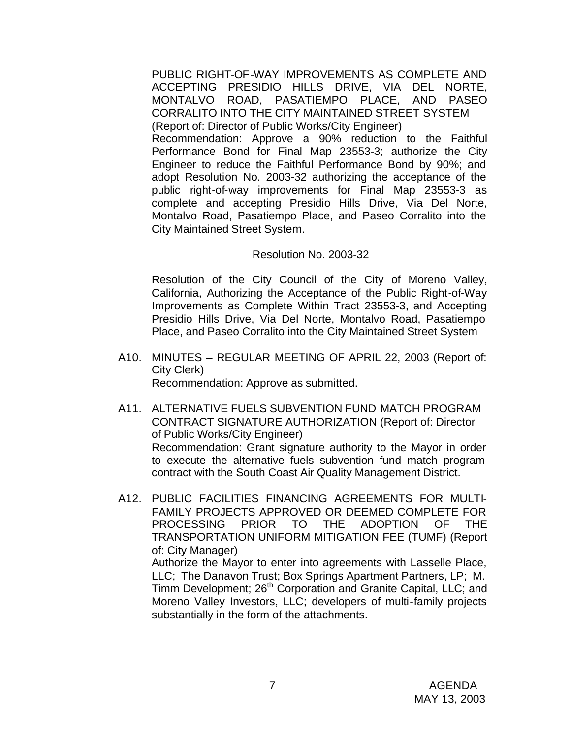PUBLIC RIGHT-OF-WAY IMPROVEMENTS AS COMPLETE AND ACCEPTING PRESIDIO HILLS DRIVE, VIA DEL NORTE, MONTALVO ROAD, PASATIEMPO PLACE, AND PASEO CORRALITO INTO THE CITY MAINTAINED STREET SYSTEM (Report of: Director of Public Works/City Engineer) Recommendation: Approve a 90% reduction to the Faithful Performance Bond for Final Map 23553-3; authorize the City Engineer to reduce the Faithful Performance Bond by 90%; and adopt Resolution No. 2003-32 authorizing the acceptance of the public right-of-way improvements for Final Map 23553-3 as complete and accepting Presidio Hills Drive, Via Del Norte, Montalvo Road, Pasatiempo Place, and Paseo Corralito into the City Maintained Street System.

#### Resolution No. 2003-32

Resolution of the City Council of the City of Moreno Valley, California, Authorizing the Acceptance of the Public Right-of-Way Improvements as Complete Within Tract 23553-3, and Accepting Presidio Hills Drive, Via Del Norte, Montalvo Road, Pasatiempo Place, and Paseo Corralito into the City Maintained Street System

- A10. MINUTES REGULAR MEETING OF APRIL 22, 2003 (Report of: City Clerk) Recommendation: Approve as submitted.
- A11. ALTERNATIVE FUELS SUBVENTION FUND MATCH PROGRAM CONTRACT SIGNATURE AUTHORIZATION (Report of: Director of Public Works/City Engineer) Recommendation: Grant signature authority to the Mayor in order to execute the alternative fuels subvention fund match program contract with the South Coast Air Quality Management District.
- A12. PUBLIC FACILITIES FINANCING AGREEMENTS FOR MULTI-FAMILY PROJECTS APPROVED OR DEEMED COMPLETE FOR PROCESSING PRIOR TO THE ADOPTION OF THE TRANSPORTATION UNIFORM MITIGATION FEE (TUMF) (Report of: City Manager)

Authorize the Mayor to enter into agreements with Lasselle Place, LLC; The Danavon Trust; Box Springs Apartment Partners, LP; M. Timm Development; 26<sup>th</sup> Corporation and Granite Capital, LLC; and Moreno Valley Investors, LLC; developers of multi-family projects substantially in the form of the attachments.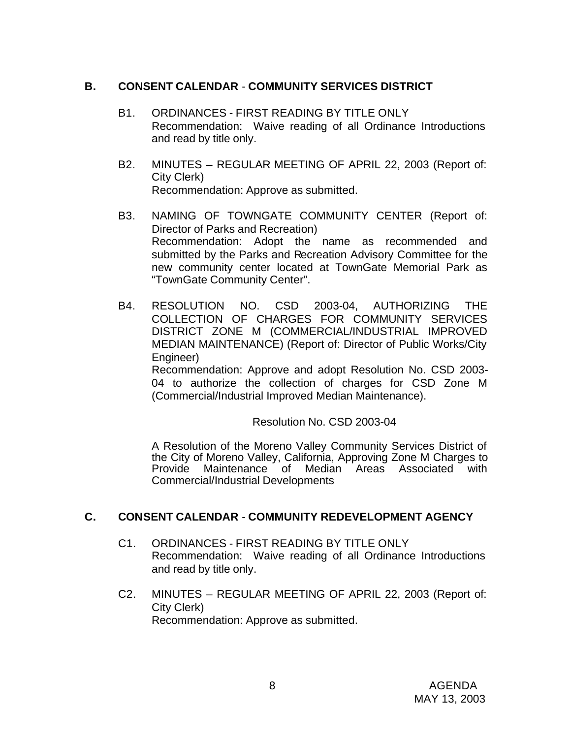### **B. CONSENT CALENDAR** - **COMMUNITY SERVICES DISTRICT**

- B1. ORDINANCES FIRST READING BY TITLE ONLY Recommendation: Waive reading of all Ordinance Introductions and read by title only.
- B2. MINUTES REGULAR MEETING OF APRIL 22, 2003 (Report of: City Clerk) Recommendation: Approve as submitted.
- B3. NAMING OF TOWNGATE COMMUNITY CENTER (Report of: Director of Parks and Recreation) Recommendation: Adopt the name as recommended and submitted by the Parks and Recreation Advisory Committee for the new community center located at TownGate Memorial Park as "TownGate Community Center".
- B4. RESOLUTION NO. CSD 2003-04, AUTHORIZING THE COLLECTION OF CHARGES FOR COMMUNITY SERVICES DISTRICT ZONE M (COMMERCIAL/INDUSTRIAL IMPROVED MEDIAN MAINTENANCE) (Report of: Director of Public Works/City Engineer)

Recommendation: Approve and adopt Resolution No. CSD 2003- 04 to authorize the collection of charges for CSD Zone M (Commercial/Industrial Improved Median Maintenance).

Resolution No. CSD 2003-04

A Resolution of the Moreno Valley Community Services District of the City of Moreno Valley, California, Approving Zone M Charges to Maintenance of Median Areas Associated with Commercial/Industrial Developments

# **C. CONSENT CALENDAR** - **COMMUNITY REDEVELOPMENT AGENCY**

- C1. ORDINANCES FIRST READING BY TITLE ONLY Recommendation: Waive reading of all Ordinance Introductions and read by title only.
- C2. MINUTES REGULAR MEETING OF APRIL 22, 2003 (Report of: City Clerk) Recommendation: Approve as submitted.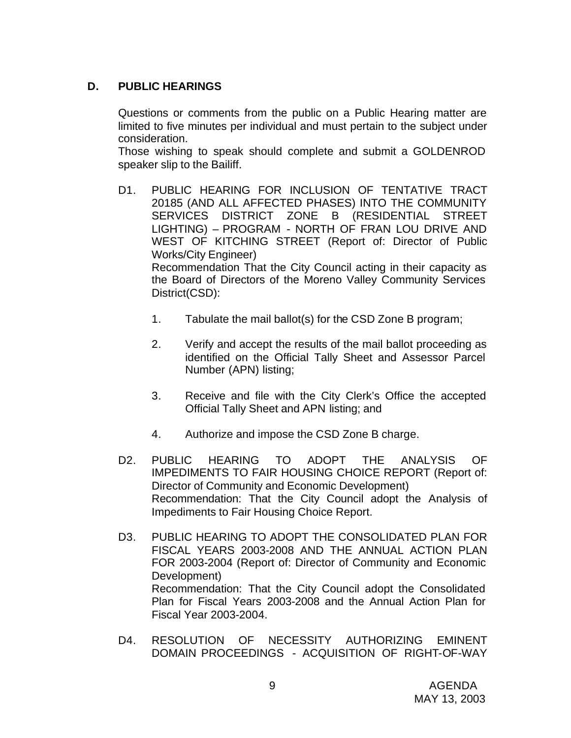# **D. PUBLIC HEARINGS**

Questions or comments from the public on a Public Hearing matter are limited to five minutes per individual and must pertain to the subject under consideration.

Those wishing to speak should complete and submit a GOLDENROD speaker slip to the Bailiff.

- D1. PUBLIC HEARING FOR INCLUSION OF TENTATIVE TRACT 20185 (AND ALL AFFECTED PHASES) INTO THE COMMUNITY SERVICES DISTRICT ZONE B (RESIDENTIAL STREET LIGHTING) – PROGRAM - NORTH OF FRAN LOU DRIVE AND WEST OF KITCHING STREET (Report of: Director of Public Works/City Engineer) Recommendation That the City Council acting in their capacity as the Board of Directors of the Moreno Valley Community Services District(CSD):
	- 1. Tabulate the mail ballot(s) for the CSD Zone B program;
	- 2. Verify and accept the results of the mail ballot proceeding as identified on the Official Tally Sheet and Assessor Parcel Number (APN) listing;
	- 3. Receive and file with the City Clerk's Office the accepted Official Tally Sheet and APN listing; and
	- 4. Authorize and impose the CSD Zone B charge.
- D2. PUBLIC HEARING TO ADOPT THE ANALYSIS OF IMPEDIMENTS TO FAIR HOUSING CHOICE REPORT (Report of: Director of Community and Economic Development) Recommendation: That the City Council adopt the Analysis of Impediments to Fair Housing Choice Report.
- D3. PUBLIC HEARING TO ADOPT THE CONSOLIDATED PLAN FOR FISCAL YEARS 2003-2008 AND THE ANNUAL ACTION PLAN FOR 2003-2004 (Report of: Director of Community and Economic Development) Recommendation: That the City Council adopt the Consolidated Plan for Fiscal Years 2003-2008 and the Annual Action Plan for Fiscal Year 2003-2004.
- D4. RESOLUTION OF NECESSITY AUTHORIZING EMINENT DOMAIN PROCEEDINGS - ACQUISITION OF RIGHT-OF-WAY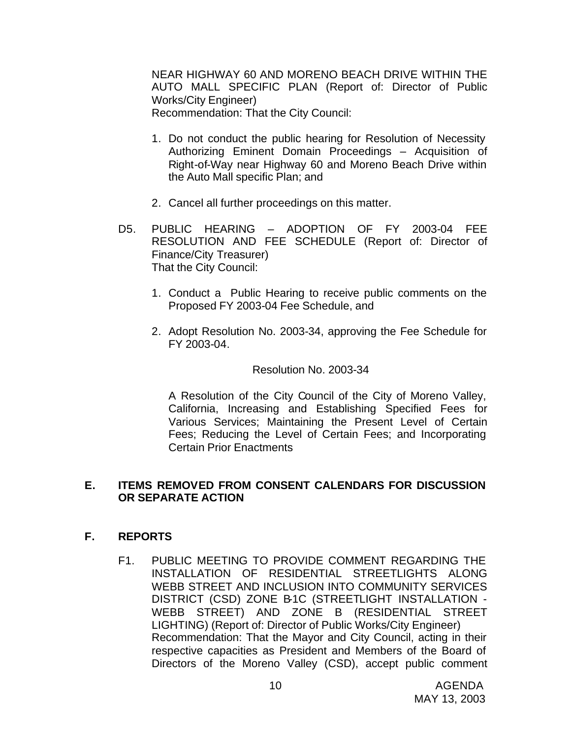NEAR HIGHWAY 60 AND MORENO BEACH DRIVE WITHIN THE AUTO MALL SPECIFIC PLAN (Report of: Director of Public Works/City Engineer) Recommendation: That the City Council:

1. Do not conduct the public hearing for Resolution of Necessity Authorizing Eminent Domain Proceedings – Acquisition of Right-of-Way near Highway 60 and Moreno Beach Drive within the Auto Mall specific Plan; and

- 2. Cancel all further proceedings on this matter.
- D5. PUBLIC HEARING ADOPTION OF FY 2003-04 FEE RESOLUTION AND FEE SCHEDULE (Report of: Director of Finance/City Treasurer) That the City Council:
	- 1. Conduct a Public Hearing to receive public comments on the Proposed FY 2003-04 Fee Schedule, and
	- 2. Adopt Resolution No. 2003-34, approving the Fee Schedule for FY 2003-04.

#### Resolution No. 2003-34

A Resolution of the City Council of the City of Moreno Valley, California, Increasing and Establishing Specified Fees for Various Services; Maintaining the Present Level of Certain Fees; Reducing the Level of Certain Fees; and Incorporating Certain Prior Enactments

#### **E. ITEMS REMOVED FROM CONSENT CALENDARS FOR DISCUSSION OR SEPARATE ACTION**

#### **F. REPORTS**

F1. PUBLIC MEETING TO PROVIDE COMMENT REGARDING THE INSTALLATION OF RESIDENTIAL STREETLIGHTS ALONG WEBB STREET AND INCLUSION INTO COMMUNITY SERVICES DISTRICT (CSD) ZONE B-1C (STREETLIGHT INSTALLATION - WEBB STREET) AND ZONE B (RESIDENTIAL STREET LIGHTING) (Report of: Director of Public Works/City Engineer) Recommendation: That the Mayor and City Council, acting in their respective capacities as President and Members of the Board of Directors of the Moreno Valley (CSD), accept public comment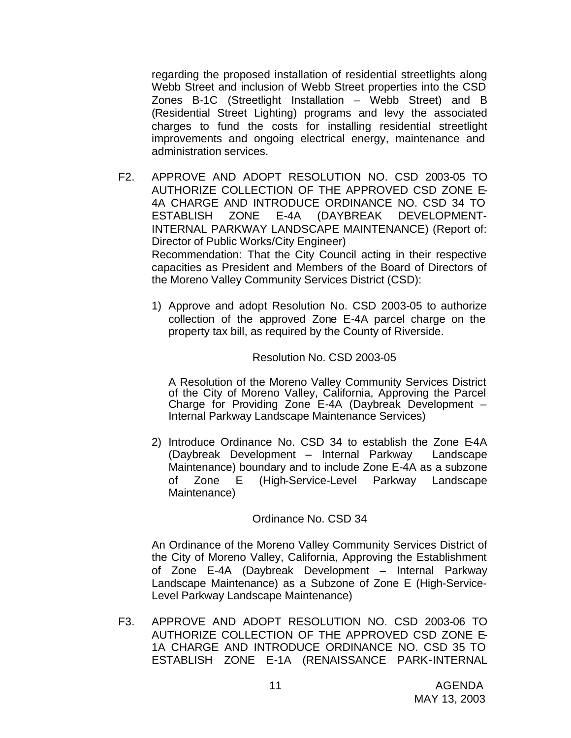regarding the proposed installation of residential streetlights along Webb Street and inclusion of Webb Street properties into the CSD Zones B-1C (Streetlight Installation – Webb Street) and B (Residential Street Lighting) programs and levy the associated charges to fund the costs for installing residential streetlight improvements and ongoing electrical energy, maintenance and administration services.

F2. APPROVE AND ADOPT RESOLUTION NO. CSD 2003-05 TO AUTHORIZE COLLECTION OF THE APPROVED CSD ZONE E-4A CHARGE AND INTRODUCE ORDINANCE NO. CSD 34 TO ESTABLISH ZONE E-4A (DAYBREAK DEVELOPMENT-INTERNAL PARKWAY LANDSCAPE MAINTENANCE) (Report of: Director of Public Works/City Engineer) Recommendation: That the City Council acting in their respective

capacities as President and Members of the Board of Directors of the Moreno Valley Community Services District (CSD):

1) Approve and adopt Resolution No. CSD 2003-05 to authorize collection of the approved Zone E-4A parcel charge on the property tax bill, as required by the County of Riverside.

#### Resolution No. CSD 2003-05

A Resolution of the Moreno Valley Community Services District of the City of Moreno Valley, California, Approving the Parcel Charge for Providing Zone E-4A (Daybreak Development – Internal Parkway Landscape Maintenance Services)

2) Introduce Ordinance No. CSD 34 to establish the Zone E-4A (Daybreak Development – Internal Parkway Landscape Maintenance) boundary and to include Zone E-4A as a subzone of Zone E (High-Service-Level Parkway Landscape Maintenance)

#### Ordinance No. CSD 34

An Ordinance of the Moreno Valley Community Services District of the City of Moreno Valley, California, Approving the Establishment of Zone E-4A (Daybreak Development – Internal Parkway Landscape Maintenance) as a Subzone of Zone E (High-Service-Level Parkway Landscape Maintenance)

F3. APPROVE AND ADOPT RESOLUTION NO. CSD 2003-06 TO AUTHORIZE COLLECTION OF THE APPROVED CSD ZONE E-1A CHARGE AND INTRODUCE ORDINANCE NO. CSD 35 TO ESTABLISH ZONE E-1A (RENAISSANCE PARK-INTERNAL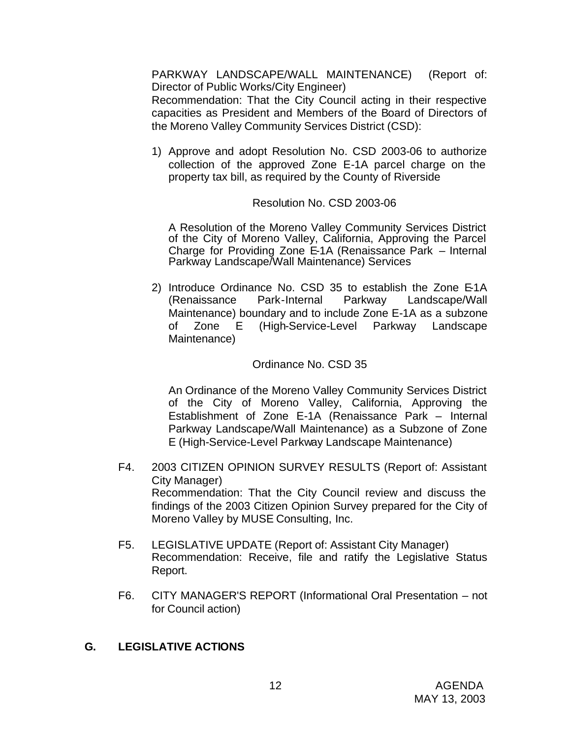PARKWAY LANDSCAPE/WALL MAINTENANCE) (Report of: Director of Public Works/City Engineer)

Recommendation: That the City Council acting in their respective capacities as President and Members of the Board of Directors of the Moreno Valley Community Services District (CSD):

1) Approve and adopt Resolution No. CSD 2003-06 to authorize collection of the approved Zone E-1A parcel charge on the property tax bill, as required by the County of Riverside

#### Resolution No. CSD 2003-06

A Resolution of the Moreno Valley Community Services District of the City of Moreno Valley, California, Approving the Parcel Charge for Providing Zone E-1A (Renaissance Park – Internal Parkway Landscape/Wall Maintenance) Services

2) Introduce Ordinance No. CSD 35 to establish the Zone E-1A (Renaissance Park-Internal Parkway Landscape/Wall Maintenance) boundary and to include Zone E-1A as a subzone of Zone E (High-Service-Level Parkway Landscape Maintenance)

# Ordinance No. CSD 35

An Ordinance of the Moreno Valley Community Services District of the City of Moreno Valley, California, Approving the Establishment of Zone E-1A (Renaissance Park – Internal Parkway Landscape/Wall Maintenance) as a Subzone of Zone E (High-Service-Level Parkway Landscape Maintenance)

- F4. 2003 CITIZEN OPINION SURVEY RESULTS (Report of: Assistant City Manager) Recommendation: That the City Council review and discuss the findings of the 2003 Citizen Opinion Survey prepared for the City of Moreno Valley by MUSE Consulting, Inc.
- F5. LEGISLATIVE UPDATE (Report of: Assistant City Manager) Recommendation: Receive, file and ratify the Legislative Status Report.
- F6. CITY MANAGER'S REPORT (Informational Oral Presentation not for Council action)

# **G. LEGISLATIVE ACTIONS**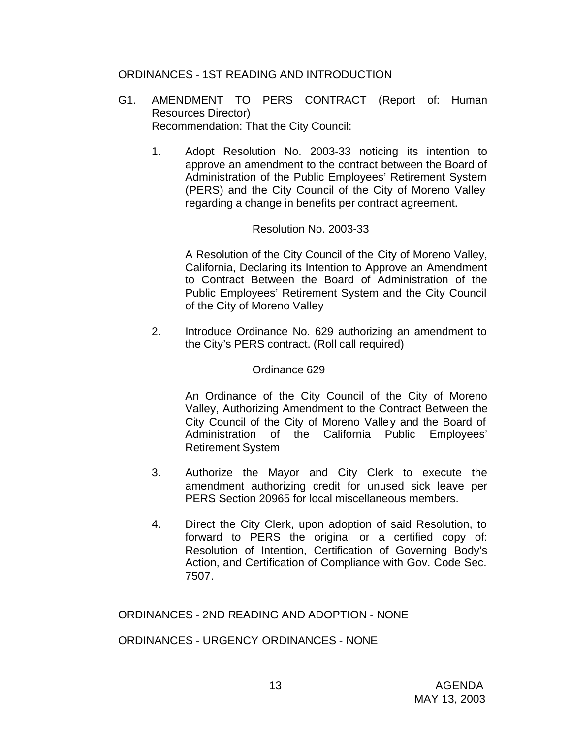## ORDINANCES - 1ST READING AND INTRODUCTION

- G1. AMENDMENT TO PERS CONTRACT (Report of: Human Resources Director) Recommendation: That the City Council:
	- 1. Adopt Resolution No. 2003-33 noticing its intention to approve an amendment to the contract between the Board of Administration of the Public Employees' Retirement System (PERS) and the City Council of the City of Moreno Valley regarding a change in benefits per contract agreement.

#### Resolution No. 2003-33

A Resolution of the City Council of the City of Moreno Valley, California, Declaring its Intention to Approve an Amendment to Contract Between the Board of Administration of the Public Employees' Retirement System and the City Council of the City of Moreno Valley

2. Introduce Ordinance No. 629 authorizing an amendment to the City's PERS contract. (Roll call required)

#### Ordinance 629

An Ordinance of the City Council of the City of Moreno Valley, Authorizing Amendment to the Contract Between the City Council of the City of Moreno Valley and the Board of Administration of the California Public Employees' Retirement System

- 3. Authorize the Mayor and City Clerk to execute the amendment authorizing credit for unused sick leave per PERS Section 20965 for local miscellaneous members.
- 4. Direct the City Clerk, upon adoption of said Resolution, to forward to PERS the original or a certified copy of: Resolution of Intention, Certification of Governing Body's Action, and Certification of Compliance with Gov. Code Sec. 7507.

ORDINANCES - 2ND READING AND ADOPTION - NONE

ORDINANCES - URGENCY ORDINANCES - NONE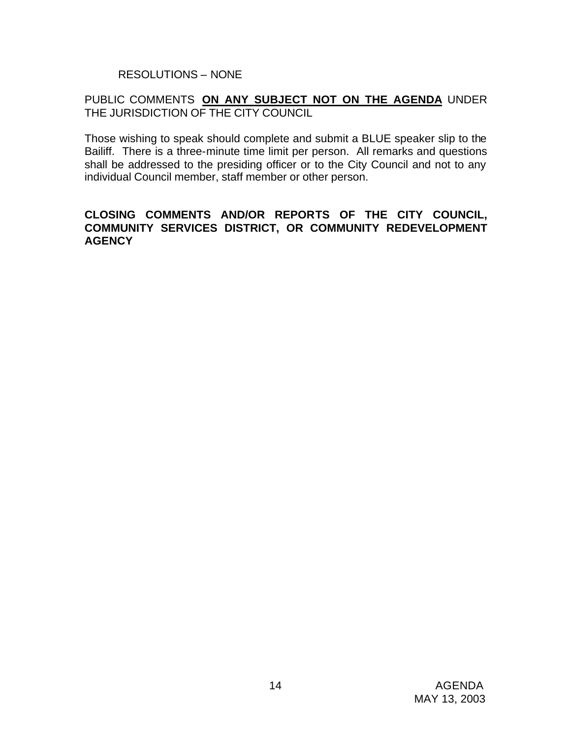RESOLUTIONS – NONE

## PUBLIC COMMENTS **ON ANY SUBJECT NOT ON THE AGENDA** UNDER THE JURISDICTION OF THE CITY COUNCIL

Those wishing to speak should complete and submit a BLUE speaker slip to the Bailiff. There is a three-minute time limit per person. All remarks and questions shall be addressed to the presiding officer or to the City Council and not to any individual Council member, staff member or other person.

#### **CLOSING COMMENTS AND/OR REPORTS OF THE CITY COUNCIL, COMMUNITY SERVICES DISTRICT, OR COMMUNITY REDEVELOPMENT AGENCY**